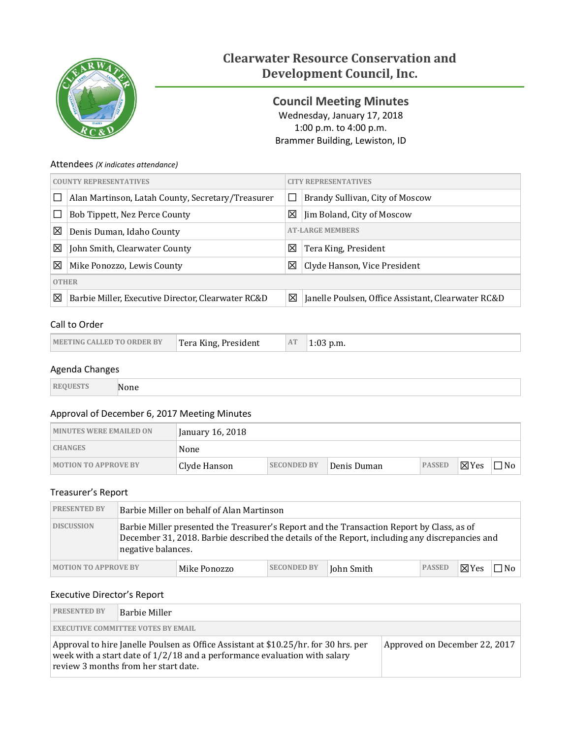

# **Clearwater Resource Conservation and Development Council, Inc.**

<span id="page-0-0"></span>**Council Meeting Minutes** Wednesday, January 17, 2018 1:00 p.m. to 4:00 p.m. Brammer Building, Lewiston, ID

## Attendees *(X indicates attendance)*

| <b>COUNTY REPRESENTATIVES</b> |                                                      | <b>TY REPRESENTATIVES</b>                 |                                                    |  |  |
|-------------------------------|------------------------------------------------------|-------------------------------------------|----------------------------------------------------|--|--|
|                               | Alan Martinson, Latah County, Secretary/Treasurer    | Brandy Sullivan, City of Moscow<br>$\Box$ |                                                    |  |  |
|                               | Bob Tippett, Nez Perce County                        | ⊠<br>Jim Boland, City of Moscow           |                                                    |  |  |
| ⊠                             | <b>AT-LARGE MEMBERS</b><br>Denis Duman, Idaho County |                                           |                                                    |  |  |
| ⊠                             | John Smith, Clearwater County                        | ⊠                                         | Tera King, President                               |  |  |
| ⊠                             | Mike Ponozzo, Lewis County                           | ⊠                                         | Clyde Hanson, Vice President                       |  |  |
|                               | <b>OTHER</b>                                         |                                           |                                                    |  |  |
| ⊠                             | Barbie Miller, Executive Director, Clearwater RC&D   | ⊠                                         | Janelle Poulsen, Office Assistant, Clearwater RC&D |  |  |

# Call to Order

| <b>MEETING CALLED TO ORDER BY</b> | <sup>T</sup> era King, President |  | $1:03$ p.m. |
|-----------------------------------|----------------------------------|--|-------------|
|-----------------------------------|----------------------------------|--|-------------|

## Agenda Changes

| ___ |
|-----|

## Approval of December 6, 2017 Meeting Minutes

| <b>MINUTES WERE EMAILED ON</b> | January 16, 2018 |                    |             |               |                 |              |
|--------------------------------|------------------|--------------------|-------------|---------------|-----------------|--------------|
| <b>CHANGES</b>                 | None             |                    |             |               |                 |              |
| <b>MOTION TO APPROVE BY</b>    | Clyde Hanson     | <b>SECONDED BY</b> | Denis Duman | <b>PASSED</b> | $\boxtimes$ Yes | $\square$ No |

## Treasurer's Report

| <b>PRESENTED BY</b>         | Barbie Miller on behalf of Alan Martinson                                                                                                                                                                         |              |                    |            |               |                 |       |
|-----------------------------|-------------------------------------------------------------------------------------------------------------------------------------------------------------------------------------------------------------------|--------------|--------------------|------------|---------------|-----------------|-------|
| <b>DISCUSSION</b>           | Barbie Miller presented the Treasurer's Report and the Transaction Report by Class, as of<br>December 31, 2018. Barbie described the details of the Report, including any discrepancies and<br>negative balances. |              |                    |            |               |                 |       |
| <b>MOTION TO APPROVE BY</b> |                                                                                                                                                                                                                   | Mike Ponozzo | <b>SECONDED BY</b> | John Smith | <b>PASSED</b> | $\boxtimes$ Yes | 7No l |

# Executive Director's Report

| <b>PRESENTED BY</b>                                                                                                                                                                                        | Barbie Miller                             |                               |  |  |  |
|------------------------------------------------------------------------------------------------------------------------------------------------------------------------------------------------------------|-------------------------------------------|-------------------------------|--|--|--|
|                                                                                                                                                                                                            | <b>EXECUTIVE COMMITTEE VOTES BY EMAIL</b> |                               |  |  |  |
| Approval to hire Janelle Poulsen as Office Assistant at \$10.25/hr. for 30 hrs. per<br>week with a start date of $1/2/18$ and a performance evaluation with salary<br>review 3 months from her start date. |                                           | Approved on December 22, 2017 |  |  |  |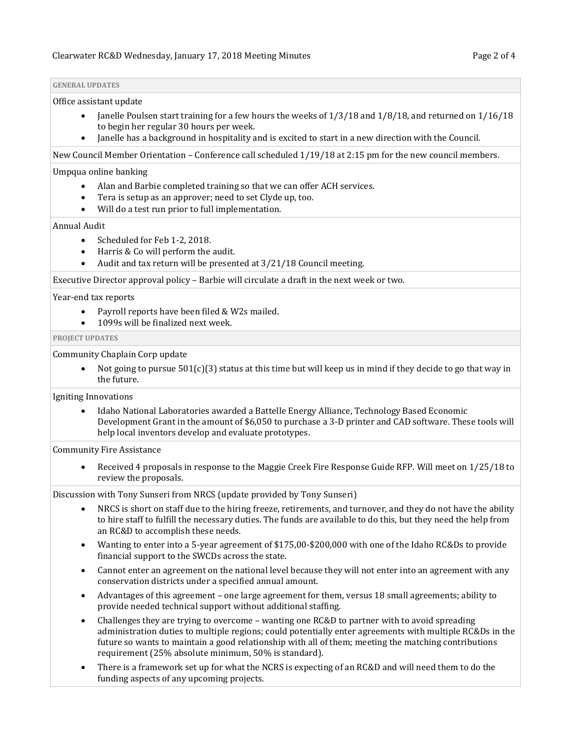#### **GENERAL UPDATES**

#### Office assistant update

- Janelle Poulsen start training for a few hours the weeks of 1/3/18 and 1/8/18, and returned on 1/16/18 to begin her regular 30 hours per week.
- Janelle has a background in hospitality and is excited to start in a new direction with the Council.

New Council Member Orientation – Conference call scheduled 1/19/18 at 2:15 pm for the new council members.

#### Umpqua online banking

- Alan and Barbie completed training so that we can offer ACH services.
- Tera is setup as an approver; need to set Clyde up, too.
- Will do a test run prior to full implementation.

## Annual Audit

- Scheduled for Feb 1-2, 2018.
- Harris & Co will perform the audit.
- Audit and tax return will be presented at 3/21/18 Council meeting.

Executive Director approval policy – Barbie will circulate a draft in the next week or two.

#### Year-end tax reports

- Payroll reports have been filed & W2s mailed.
- 1099s will be finalized next week.

#### **PROJECT UPDATES**

#### Community Chaplain Corp update

Not going to pursue  $501(c)(3)$  status at this time but will keep us in mind if they decide to go that way in the future.

#### Igniting Innovations

• Idaho National Laboratories awarded a Battelle Energy Alliance, Technology Based Economic Development Grant in the amount of \$6,050 to purchase a 3-D printer and CAD software. These tools will help local inventors develop and evaluate prototypes.

#### Community Fire Assistance

• Received 4 proposals in response to the Maggie Creek Fire Response Guide RFP. Will meet on 1/25/18 to review the proposals.

Discussion with Tony Sunseri from NRCS (update provided by Tony Sunseri)

- NRCS is short on staff due to the hiring freeze, retirements, and turnover, and they do not have the ability to hire staff to fulfill the necessary duties. The funds are available to do this, but they need the help from an RC&D to accomplish these needs.
- Wanting to enter into a 5-year agreement of \$175,00-\$200,000 with one of the Idaho RC&Ds to provide financial support to the SWCDs across the state.
- Cannot enter an agreement on the national level because they will not enter into an agreement with any conservation districts under a specified annual amount.
- Advantages of this agreement one large agreement for them, versus 18 small agreements; ability to provide needed technical support without additional staffing.
- Challenges they are trying to overcome wanting one RC&D to partner with to avoid spreading administration duties to multiple regions; could potentially enter agreements with multiple RC&Ds in the future so wants to maintain a good relationship with all of them; meeting the matching contributions requirement (25% absolute minimum, 50% is standard).
- There is a framework set up for what the NCRS is expecting of an RC&D and will need them to do the funding aspects of any upcoming projects.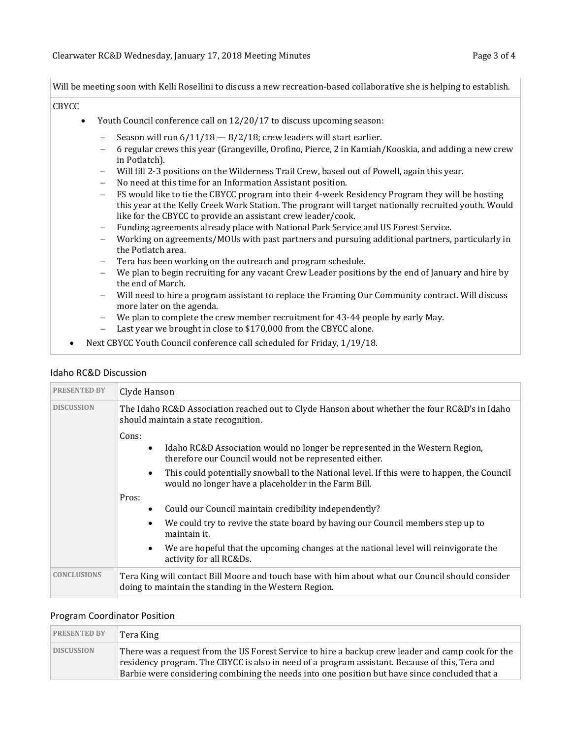Will be meeting soon with Kelli Rosellini to discuss a new recreation-based collaborative she is helping to establish.

#### CBYCC

- Youth Council conference call on 12/20/17 to discuss upcoming season:
	- Season will run  $6/11/18 8/2/18$ ; crew leaders will start earlier.
	- − 6 regular crews this year (Grangeville, Orofino, Pierce, 2 in Kamiah/Kooskia, and adding a new crew in Potlatch).
	- − Will fill 2-3 positions on the Wilderness Trail Crew, based out of Powell, again this year.
	- − No need at this time for an Information Assistant position.
	- − FS would like to tie the CBYCC program into their 4-week Residency Program they will be hosting this year at the Kelly Creek Work Station. The program will target nationally recruited youth. Would like for the CBYCC to provide an assistant crew leader/cook.
	- − Funding agreements already place with National Park Service and US Forest Service.
	- − Working on agreements/MOUs with past partners and pursuing additional partners, particularly in the Potlatch area.
	- − Tera has been working on the outreach and program schedule.
	- − We plan to begin recruiting for any vacant Crew Leader positions by the end of January and hire by the end of March.
	- − Will need to hire a program assistant to replace the Framing Our Community contract. Will discuss more later on the agenda.
	- − We plan to complete the crew member recruitment for 43-44 people by early May.
	- − Last year we brought in close to \$170,000 from the CBYCC alone.
- Next CBYCC Youth Council conference call scheduled for Friday, 1/19/18.

#### Idaho RC&D Discussion

| <b>PRESENTED BY</b> | Clyde Hanson                                                                                                                                                 |
|---------------------|--------------------------------------------------------------------------------------------------------------------------------------------------------------|
| <b>DISCUSSION</b>   | The Idaho RC&D Association reached out to Clyde Hanson about whether the four RC&D's in Idaho<br>should maintain a state recognition.                        |
|                     | Cons:<br>Idaho RC&D Association would no longer be represented in the Western Region,<br>$\bullet$<br>therefore our Council would not be represented either. |
|                     | This could potentially snowball to the National level. If this were to happen, the Council<br>would no longer have a placeholder in the Farm Bill.           |
|                     | Pros:<br>Could our Council maintain credibility independently?                                                                                               |
|                     | We could try to revive the state board by having our Council members step up to<br>maintain it.                                                              |
|                     | We are hopeful that the upcoming changes at the national level will reinvigorate the<br>activity for all RC&Ds.                                              |
| <b>CONCLUSIONS</b>  | Tera King will contact Bill Moore and touch base with him about what our Council should consider<br>doing to maintain the standing in the Western Region.    |

#### Program Coordinator Position

| <b>PRESENTED BY</b> | ¶Tera King                                                                                                                                                                                                                                                                                           |
|---------------------|------------------------------------------------------------------------------------------------------------------------------------------------------------------------------------------------------------------------------------------------------------------------------------------------------|
| <b>DISCUSSION</b>   | There was a request from the US Forest Service to hire a backup crew leader and camp cook for the<br>residency program. The CBYCC is also in need of a program assistant. Because of this, Tera and<br>Barbie were considering combining the needs into one position but have since concluded that a |